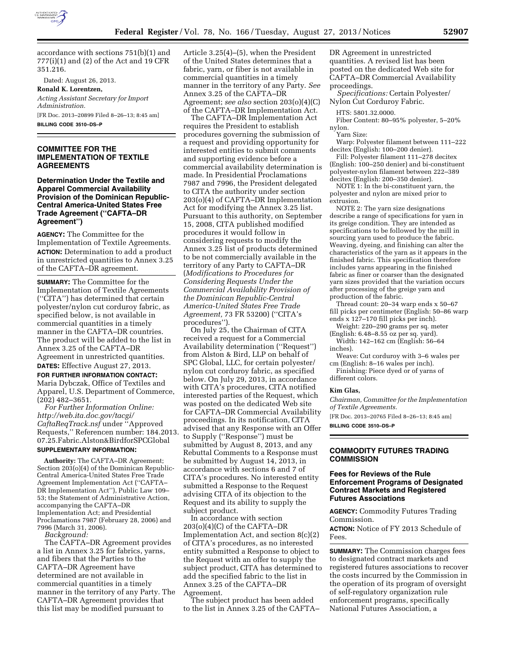

accordance with sections 751(b)(1) and 777(i)(1) and (2) of the Act and 19 CFR 351.216.

Dated: August 26, 2013.

**Ronald K. Lorentzen,**  *Acting Assistant Secretary for Import* 

*Administration.*  [FR Doc. 2013–20899 Filed 8–26–13; 8:45 am] **BILLING CODE 3510–DS–P** 

### **COMMITTEE FOR THE IMPLEMENTATION OF TEXTILE AGREEMENTS**

**Determination Under the Textile and Apparel Commercial Availability Provision of the Dominican Republic-Central America-United States Free Trade Agreement (''CAFTA–DR Agreement'')** 

**AGENCY:** The Committee for the Implementation of Textile Agreements. **ACTION:** Determination to add a product in unrestricted quantities to Annex 3.25 of the CAFTA–DR agreement.

**SUMMARY:** The Committee for the Implementation of Textile Agreements (''CITA'') has determined that certain polyester/nylon cut corduroy fabric, as specified below, is not available in commercial quantities in a timely manner in the CAFTA–DR countries. The product will be added to the list in Annex 3.25 of the CAFTA–DR Agreement in unrestricted quantities.

**DATES:** Effective August 27, 2013. **FOR FURTHER INFORMATION CONTACT:**  Maria Dybczak, Office of Textiles and Apparel, U.S. Department of Commerce, (202) 482–3651.

*For Further Information Online: [http://web.ita.doc.gov/tacgi/](http://web.ita.doc.gov/tacgi/CaftaReqTrack.nsf) [CaftaReqTrack.nsf](http://web.ita.doc.gov/tacgi/CaftaReqTrack.nsf)* under ''Approved Requests,'' Referencen number: 184.2013. 07.25.Fabric.Alston&BirdforSPCGlobal

# **SUPPLEMENTARY INFORMATION:**

**Authority:** The CAFTA–DR Agreement; Section 203(o)(4) of the Dominican Republic-Central America-United States Free Trade Agreement Implementation Act (''CAFTA– DR Implementation Act''), Public Law 109– 53; the Statement of Administrative Action, accompanying the CAFTA–DR Implementation Act; and Presidential Proclamations 7987 (February 28, 2006) and 7996 (March 31, 2006).

*Background:* 

The CAFTA–DR Agreement provides a list in Annex 3.25 for fabrics, yarns, and fibers that the Parties to the CAFTA–DR Agreement have determined are not available in commercial quantities in a timely manner in the territory of any Party. The CAFTA–DR Agreement provides that this list may be modified pursuant to

Article 3.25(4)–(5), when the President of the United States determines that a fabric, yarn, or fiber is not available in commercial quantities in a timely manner in the territory of any Party. *See*  Annex 3.25 of the CAFTA–DR Agreement; *see also* section 203(o)(4)(C) of the CAFTA–DR Implementation Act.

The CAFTA–DR Implementation Act requires the President to establish procedures governing the submission of a request and providing opportunity for interested entities to submit comments and supporting evidence before a commercial availability determination is made. In Presidential Proclamations 7987 and 7996, the President delegated to CITA the authority under section 203(o)(4) of CAFTA–DR Implementation Act for modifying the Annex 3.25 list. Pursuant to this authority, on September 15, 2008, CITA published modified procedures it would follow in considering requests to modify the Annex 3.25 list of products determined to be not commercially available in the territory of any Party to CAFTA–DR (*Modifications to Procedures for Considering Requests Under the Commercial Availability Provision of the Dominican Republic-Central America-United States Free Trade Agreement,* 73 FR 53200) (''CITA's procedures'').

On July 25, the Chairman of CITA received a request for a Commercial Availability determination (''Request'') from Alston & Bird, LLP on behalf of SPC Global, LLC, for certain polyester/ nylon cut corduroy fabric, as specified below. On July 29, 2013, in accordance with CITA's procedures, CITA notified interested parties of the Request, which was posted on the dedicated Web site for CAFTA–DR Commercial Availability proceedings. In its notification, CITA advised that any Response with an Offer to Supply (''Response'') must be submitted by August 8, 2013, and any Rebuttal Comments to a Response must be submitted by August 14, 2013, in accordance with sections 6 and 7 of CITA's procedures. No interested entity submitted a Response to the Request advising CITA of its objection to the Request and its ability to supply the subject product.

In accordance with section 203(o)(4)(C) of the CAFTA–DR Implementation Act, and section 8(c)(2) of CITA's procedures, as no interested entity submitted a Response to object to the Request with an offer to supply the subject product, CITA has determined to add the specified fabric to the list in Annex 3.25 of the CAFTA–DR Agreement.

The subject product has been added to the list in Annex 3.25 of the CAFTA– DR Agreement in unrestricted quantities. A revised list has been posted on the dedicated Web site for CAFTA–DR Commercial Availability proceedings.

*Specifications:* Certain Polyester/ Nylon Cut Corduroy Fabric.

HTS: 5801.32.0000.

Fiber Content: 80–95% polyester, 5–20% nylon.

Yarn Size:

Warp: Polyester filament between 111–222 decitex (English: 100–200 denier).

Fill: Polyester filament 111–278 decitex (English: 100–250 denier) and bi-constituent polyester-nylon filament between 222–389 decitex (English: 200–350 denier).

NOTE 1: In the bi-constituent yarn, the polyester and nylon are mixed prior to extrusion.

NOTE 2: The yarn size designations describe a range of specifications for yarn in its greige condition. They are intended as specifications to be followed by the mill in sourcing yarn used to produce the fabric. Weaving, dyeing, and finishing can alter the characteristics of the yarn as it appears in the finished fabric. This specification therefore includes yarns appearing in the finished fabric as finer or coarser than the designated yarn sizes provided that the variation occurs after processing of the greige yarn and production of the fabric.

Thread count: 20–34 warp ends x 50–67 fill picks per centimeter (English: 50–86 warp ends x 127–170 fill picks per inch).

Weight: 220–290 grams per sq. meter (English: 6.48–8.55 oz per sq. yard). Width: 142–162 cm (English: 56–64

inches). Weave: Cut corduroy with 3–6 wales per

cm (English: 8–16 wales per inch).

Finishing: Piece dyed or of yarns of different colors.

#### **Kim Glas,**

*Chairman, Committee for the Implementation of Textile Agreements.* 

[FR Doc. 2013–20765 Filed 8–26–13; 8:45 am] **BILLING CODE 3510–DS–P** 

# **COMMODITY FUTURES TRADING COMMISSION**

## **Fees for Reviews of the Rule Enforcement Programs of Designated Contract Markets and Registered Futures Associations**

**AGENCY:** Commodity Futures Trading Commission.

**ACTION:** Notice of FY 2013 Schedule of Fees.

**SUMMARY:** The Commission charges fees to designated contract markets and registered futures associations to recover the costs incurred by the Commission in the operation of its program of oversight of self-regulatory organization rule enforcement programs, specifically National Futures Association, a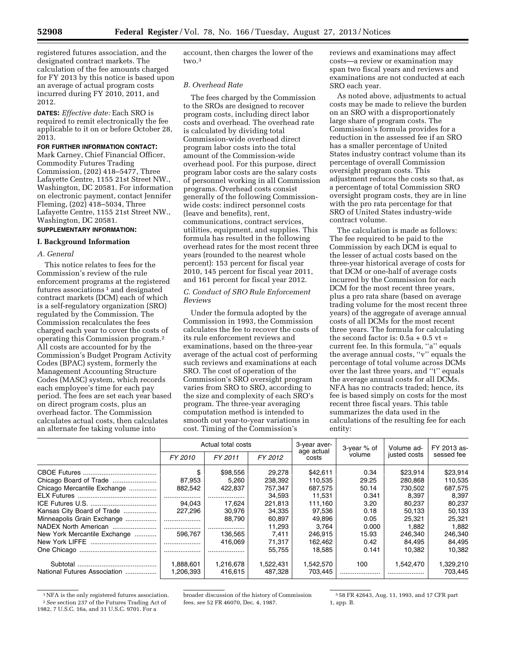registered futures association, and the designated contract markets. The calculation of the fee amounts charged for FY 2013 by this notice is based upon an average of actual program costs incurred during FY 2010, 2011, and 2012.

**DATES:** *Effective date:* Each SRO is required to remit electronically the fee applicable to it on or before October 28, 2013.

# **FOR FURTHER INFORMATION CONTACT:**

Mark Carney, Chief Financial Officer, Commodity Futures Trading Commission, (202) 418–5477, Three Lafayette Centre, 1155 21st Street NW., Washington, DC 20581. For information on electronic payment, contact Jennifer Fleming, (202) 418–5034, Three Lafayette Centre, 1155 21st Street NW., Washington, DC 20581.

# **SUPPLEMENTARY INFORMATION:**

## **I. Background Information**

## *A. General*

This notice relates to fees for the Commission's review of the rule enforcement programs at the registered futures associations<sup>1</sup> and designated contract markets (DCM) each of which is a self-regulatory organization (SRO) regulated by the Commission. The Commission recalculates the fees charged each year to cover the costs of operating this Commission program.2 All costs are accounted for by the Commission's Budget Program Activity Codes (BPAC) system, formerly the Management Accounting Structure Codes (MASC) system, which records each employee's time for each pay period. The fees are set each year based on direct program costs, plus an overhead factor. The Commission calculates actual costs, then calculates an alternate fee taking volume into

account, then charges the lower of the two.3

### *B. Overhead Rate*

The fees charged by the Commission to the SROs are designed to recover program costs, including direct labor costs and overhead. The overhead rate is calculated by dividing total Commission-wide overhead direct program labor costs into the total amount of the Commission-wide overhead pool. For this purpose, direct program labor costs are the salary costs of personnel working in all Commission programs. Overhead costs consist generally of the following Commissionwide costs: indirect personnel costs (leave and benefits), rent, communications, contract services, utilities, equipment, and supplies. This formula has resulted in the following overhead rates for the most recent three years (rounded to the nearest whole percent): 153 percent for fiscal year 2010, 145 percent for fiscal year 2011, and 161 percent for fiscal year 2012.

# *C. Conduct of SRO Rule Enforcement Reviews*

Under the formula adopted by the Commission in 1993, the Commission calculates the fee to recover the costs of its rule enforcement reviews and examinations, based on the three-year average of the actual cost of performing such reviews and examinations at each SRO. The cost of operation of the Commission's SRO oversight program varies from SRO to SRO, according to the size and complexity of each SRO's program. The three-year averaging computation method is intended to smooth out year-to-year variations in cost. Timing of the Commission's

reviews and examinations may affect costs—a review or examination may span two fiscal years and reviews and examinations are not conducted at each SRO each year.

As noted above, adjustments to actual costs may be made to relieve the burden on an SRO with a disproportionately large share of program costs. The Commission's formula provides for a reduction in the assessed fee if an SRO has a smaller percentage of United States industry contract volume than its percentage of overall Commission oversight program costs. This adjustment reduces the costs so that, as a percentage of total Commission SRO oversight program costs, they are in line with the pro rata percentage for that SRO of United States industry-wide contract volume.

The calculation is made as follows: The fee required to be paid to the Commission by each DCM is equal to the lesser of actual costs based on the three-year historical average of costs for that DCM or one-half of average costs incurred by the Commission for each DCM for the most recent three years, plus a pro rata share (based on average trading volume for the most recent three years) of the aggregate of average annual costs of all DCMs for the most recent three years. The formula for calculating the second factor is:  $0.5a + 0.5$  vt = current fee. In this formula, ''a'' equals the average annual costs, ''v'' equals the percentage of total volume across DCMs over the last three years, and ''t'' equals the average annual costs for all DCMs. NFA has no contracts traded; hence, its fee is based simply on costs for the most recent three fiscal years. This table summarizes the data used in the calculations of the resulting fee for each entity:

|                              | Actual total costs |           |           | 3-year aver-<br>age actual | 3-year % of | Volume ad-   | FY 2013 as- |
|------------------------------|--------------------|-----------|-----------|----------------------------|-------------|--------------|-------------|
|                              | FY 2010            | FY 2011   | FY 2012   | costs                      | volume      | justed costs | sessed fee  |
|                              |                    | \$98,556  | 29.278    | \$42.611                   | 0.34        | \$23.914     | \$23,914    |
|                              | 87,953             | 5.260     | 238,392   | 110,535                    | 29.25       | 280,868      | 110,535     |
| Chicago Mercantile Exchange  | 882,542            | 422,837   | 757,347   | 687,575                    | 50.14       | 730,502      | 687,575     |
|                              |                    |           | 34,593    | 11,531                     | 0.341       | 8,397        | 8.397       |
|                              | 94.043             | 17,624    | 221,813   | 111,160                    | 3.20        | 80,237       | 80,237      |
| Kansas City Board of Trade   | 227,296            | 30,976    | 34.335    | 97,536                     | 0.18        | 50,133       | 50,133      |
| Minneapolis Grain Exchange   |                    | 88.790    | 60.897    | 49.896                     | 0.05        | 25.321       | 25.321      |
|                              | .                  |           | 11,293    | 3.764                      | 0.000       | 1,882        | 1,882       |
| New York Mercantile Exchange | 596.767            | 136,565   | 7.411     | 246.915                    | 15.93       | 246,340      | 246,340     |
|                              |                    | 416.069   | 71.317    | 162.462                    | 0.42        | 84,495       | 84,495      |
|                              | .                  |           | 55,755    | 18.585                     | 0.141       | 10.382       | 10.382      |
|                              | 1,888,601          | 1,216,678 | 1,522,431 | 1,542,570                  | 100         | 1.542.470    | 1,329,210   |
| National Futures Association | 1,206,393          | 416.615   | 487.328   | 703.445                    |             |              | 703,445     |

<sup>&</sup>lt;sup>1</sup>NFA is the only registered futures association. 2*See* section 237 of the Futures Trading Act of 1982, 7 U.S.C. 16a, and 31 U.S.C. 9701. For a

broader discussion of the history of Commission fees, *see* 52 FR 46070, Dec. 4, 1987.

3 58 FR 42643, Aug. 11, 1993, and 17 CFR part 1, app. B.